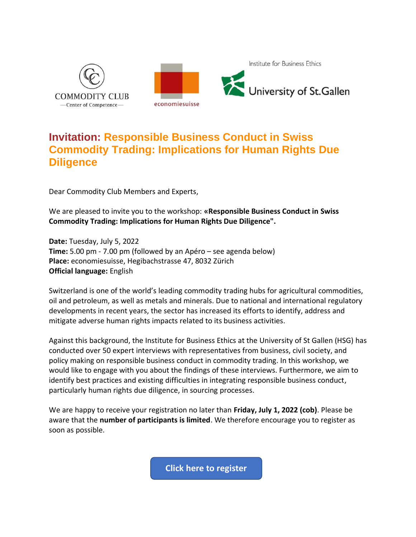

## **Invitation: Responsible Business Conduct in Swiss Commodity Trading: Implications for Human Rights Due Diligence**

Dear Commodity Club Members and Experts,

We are pleased to invite you to the workshop: **«Responsible Business Conduct in Swiss Commodity Trading: Implications for Human Rights Due Diligence".**

**Date:** Tuesday, July 5, 2022 **Time:** 5.00 pm - 7.00 pm (followed by an Apéro – see agenda below) **Place:** economiesuisse, Hegibachstrasse 47, 8032 Zürich **Official language:** English

Switzerland is one of the world's leading commodity trading hubs for agricultural commodities, oil and petroleum, as well as metals and minerals. Due to national and international regulatory developments in recent years, the sector has increased its efforts to identify, address and mitigate adverse human rights impacts related to its business activities.

Against this background, the Institute for Business Ethics at the University of St Gallen (HSG) has conducted over 50 expert interviews with representatives from business, civil society, and policy making on responsible business conduct in commodity trading. In this workshop, we would like to engage with you about the findings of these interviews. Furthermore, we aim to identify best practices and existing difficulties in integrating responsible business conduct, particularly human rights due diligence, in sourcing processes.

We are happy to receive your registration no later than **Friday, July 1, 2022 (cob)**. Please be aware that the **number of participants is limited**. We therefore encourage you to register as soon as possible.

**[Click here to register](https://events.economiesuisse.ch/event.php?vnrtoken=JHbxF7b2WaciN4B2TExtct5McC4aCjQh7Mim+DTyd3ONeCEj4f/SFRg2XLO4fINQ8nzQrGDT+6t8GZxB11AmC3E=)**